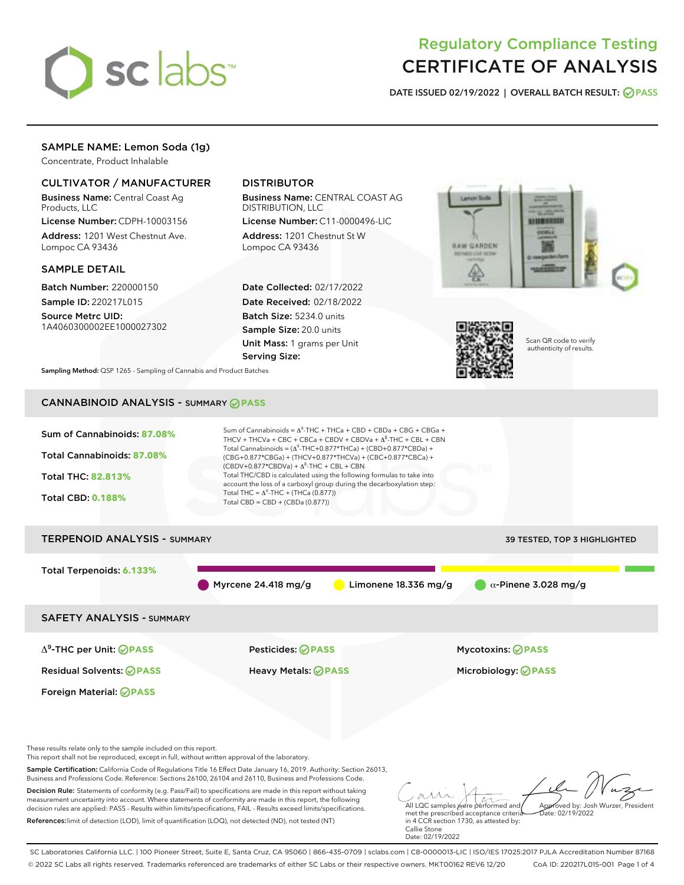

# Regulatory Compliance Testing CERTIFICATE OF ANALYSIS

DATE ISSUED 02/19/2022 | OVERALL BATCH RESULT: @ PASS

# SAMPLE NAME: Lemon Soda (1g)

Concentrate, Product Inhalable

# CULTIVATOR / MANUFACTURER

Business Name: Central Coast Ag Products, LLC

License Number: CDPH-10003156 Address: 1201 West Chestnut Ave. Lompoc CA 93436

#### SAMPLE DETAIL

Batch Number: 220000150 Sample ID: 220217L015

Source Metrc UID: 1A4060300002EE1000027302

# DISTRIBUTOR

Business Name: CENTRAL COAST AG DISTRIBUTION, LLC

License Number: C11-0000496-LIC Address: 1201 Chestnut St W Lompoc CA 93436

Date Collected: 02/17/2022 Date Received: 02/18/2022 Batch Size: 5234.0 units Sample Size: 20.0 units Unit Mass: 1 grams per Unit Serving Size:





Scan QR code to verify authenticity of results.

Sampling Method: QSP 1265 - Sampling of Cannabis and Product Batches

# CANNABINOID ANALYSIS - SUMMARY **PASS**



SC Laboratories California LLC. | 100 Pioneer Street, Suite E, Santa Cruz, CA 95060 | 866-435-0709 | sclabs.com | C8-0000013-LIC | ISO/IES 17025:2017 PJLA Accreditation Number 87168 © 2022 SC Labs all rights reserved. Trademarks referenced are trademarks of either SC Labs or their respective owners. MKT00162 REV6 12/20 CoA ID: 220217L015-001 Page 1 of 4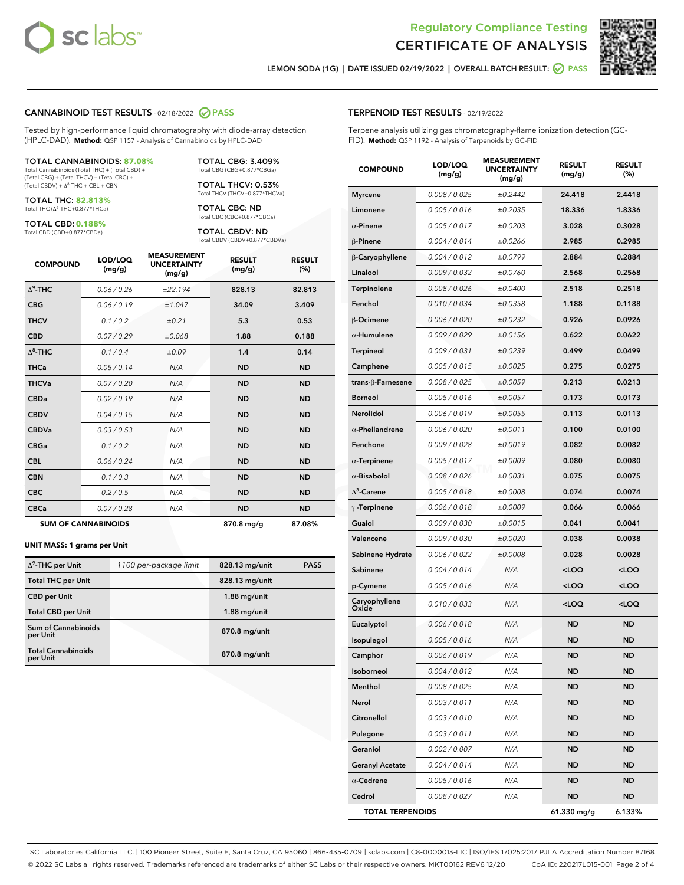



LEMON SODA (1G) | DATE ISSUED 02/19/2022 | OVERALL BATCH RESULT: O PASS

#### CANNABINOID TEST RESULTS - 02/18/2022 2 PASS

Tested by high-performance liquid chromatography with diode-array detection (HPLC-DAD). **Method:** QSP 1157 - Analysis of Cannabinoids by HPLC-DAD

#### TOTAL CANNABINOIDS: **87.08%**

Total Cannabinoids (Total THC) + (Total CBD) + (Total CBG) + (Total THCV) + (Total CBC) +  $(Total CBDV) +  $\Delta^8$ -THC + CBL + CBN$ 

TOTAL THC: **82.813%** Total THC (Δ<sup>9</sup> -THC+0.877\*THCa)

TOTAL CBD: **0.188%**

Total CBD (CBD+0.877\*CBDa)

TOTAL CBG: 3.409% Total CBG (CBG+0.877\*CBGa)

TOTAL THCV: 0.53% Total THCV (THCV+0.877\*THCVa)

TOTAL CBC: ND Total CBC (CBC+0.877\*CBCa)

TOTAL CBDV: ND Total CBDV (CBDV+0.877\*CBDVa)

| <b>COMPOUND</b> | LOD/LOO<br>(mg/g)          | <b>MEASUREMENT</b><br><b>UNCERTAINTY</b><br>(mg/g) | <b>RESULT</b><br>(mg/g) | <b>RESULT</b><br>(%) |
|-----------------|----------------------------|----------------------------------------------------|-------------------------|----------------------|
| $\Delta^9$ -THC | 0.06/0.26                  | ±22.194                                            | 828.13                  | 82.813               |
| <b>CBG</b>      | 0.06/0.19                  | ±1.047                                             | 34.09                   | 3.409                |
| <b>THCV</b>     | 0.1/0.2                    | ±0.21                                              | 5.3                     | 0.53                 |
| <b>CBD</b>      | 0.07/0.29                  | ±0.068                                             | 1.88                    | 0.188                |
| $\Delta^8$ -THC | 0.1 / 0.4                  | ±0.09                                              | 1.4                     | 0.14                 |
| <b>THCa</b>     | 0.05/0.14                  | N/A                                                | <b>ND</b>               | <b>ND</b>            |
| <b>THCVa</b>    | 0.07/0.20                  | N/A                                                | <b>ND</b>               | <b>ND</b>            |
| <b>CBDa</b>     | 0.02/0.19                  | N/A                                                | <b>ND</b>               | <b>ND</b>            |
| <b>CBDV</b>     | 0.04/0.15                  | N/A                                                | <b>ND</b>               | <b>ND</b>            |
| <b>CBDVa</b>    | 0.03/0.53                  | N/A                                                | <b>ND</b>               | <b>ND</b>            |
| <b>CBGa</b>     | 0.1/0.2                    | N/A                                                | <b>ND</b>               | <b>ND</b>            |
| <b>CBL</b>      | 0.06 / 0.24                | N/A                                                | <b>ND</b>               | <b>ND</b>            |
| <b>CBN</b>      | 0.1/0.3                    | N/A                                                | <b>ND</b>               | <b>ND</b>            |
| <b>CBC</b>      | 0.2 / 0.5                  | N/A                                                | <b>ND</b>               | <b>ND</b>            |
| <b>CBCa</b>     | 0.07/0.28                  | N/A                                                | <b>ND</b>               | <b>ND</b>            |
|                 | <b>SUM OF CANNABINOIDS</b> |                                                    | 870.8 mg/g              | 87.08%               |

#### **UNIT MASS: 1 grams per Unit**

| $\Delta^9$ -THC per Unit               | 1100 per-package limit | 828.13 mg/unit | <b>PASS</b> |
|----------------------------------------|------------------------|----------------|-------------|
| <b>Total THC per Unit</b>              |                        | 828.13 mg/unit |             |
| <b>CBD per Unit</b>                    |                        | $1.88$ mg/unit |             |
| <b>Total CBD per Unit</b>              |                        | $1.88$ mg/unit |             |
| <b>Sum of Cannabinoids</b><br>per Unit |                        | 870.8 mg/unit  |             |
| <b>Total Cannabinoids</b><br>per Unit  |                        | 870.8 mg/unit  |             |

#### TERPENOID TEST RESULTS - 02/19/2022

Terpene analysis utilizing gas chromatography-flame ionization detection (GC-FID). **Method:** QSP 1192 - Analysis of Terpenoids by GC-FID

| <b>COMPOUND</b>         | LOD/LOQ<br>(mg/g) | <b>MEASUREMENT</b><br><b>UNCERTAINTY</b><br>(mg/g) | <b>RESULT</b><br>(mg/g)                         | <b>RESULT</b><br>(%) |
|-------------------------|-------------------|----------------------------------------------------|-------------------------------------------------|----------------------|
| <b>Myrcene</b>          | 0.008 / 0.025     | ±0.2442                                            | 24.418                                          | 2.4418               |
| Limonene                | 0.005 / 0.016     | ±0.2035                                            | 18.336                                          | 1.8336               |
| $\alpha$ -Pinene        | 0.005 / 0.017     | ±0.0203                                            | 3.028                                           | 0.3028               |
| β-Pinene                | 0.004 / 0.014     | ±0.0266                                            | 2.985                                           | 0.2985               |
| β-Caryophyllene         | 0.004 / 0.012     | ±0.0799                                            | 2.884                                           | 0.2884               |
| Linalool                | 0.009 / 0.032     | ±0.0760                                            | 2.568                                           | 0.2568               |
| Terpinolene             | 0.008 / 0.026     | ±0.0400                                            | 2.518                                           | 0.2518               |
| Fenchol                 | 0.010 / 0.034     | ±0.0358                                            | 1.188                                           | 0.1188               |
| β-Ocimene               | 0.006 / 0.020     | ±0.0232                                            | 0.926                                           | 0.0926               |
| $\alpha$ -Humulene      | 0.009 / 0.029     | ±0.0156                                            | 0.622                                           | 0.0622               |
| <b>Terpineol</b>        | 0.009 / 0.031     | ±0.0239                                            | 0.499                                           | 0.0499               |
| Camphene                | 0.005 / 0.015     | ±0.0025                                            | 0.275                                           | 0.0275               |
| trans-ß-Farnesene       | 0.008 / 0.025     | ±0.0059                                            | 0.213                                           | 0.0213               |
| <b>Borneol</b>          | 0.005 / 0.016     | ±0.0057                                            | 0.173                                           | 0.0173               |
| Nerolidol               | 0.006 / 0.019     | ±0.0055                                            | 0.113                                           | 0.0113               |
| $\alpha$ -Phellandrene  | 0.006 / 0.020     | ±0.0011                                            | 0.100                                           | 0.0100               |
| Fenchone                | 0.009 / 0.028     | ±0.0019                                            | 0.082                                           | 0.0082               |
| $\alpha$ -Terpinene     | 0.005 / 0.017     | ±0.0009                                            | 0.080                                           | 0.0080               |
| $\alpha$ -Bisabolol     | 0.008 / 0.026     | ±0.0031                                            | 0.075                                           | 0.0075               |
| $\Delta^3$ -Carene      | 0.005 / 0.018     | ±0.0008                                            | 0.074                                           | 0.0074               |
| $\gamma$ -Terpinene     | 0.006 / 0.018     | ±0.0009                                            | 0.066                                           | 0.0066               |
| Guaiol                  | 0.009 / 0.030     | ±0.0015                                            | 0.041                                           | 0.0041               |
| Valencene               | 0.009 / 0.030     | ±0.0020                                            | 0.038                                           | 0.0038               |
| Sabinene Hydrate        | 0.006 / 0.022     | ±0.0008                                            | 0.028                                           | 0.0028               |
| Sabinene                | 0.004 / 0.014     | N/A                                                | <loq< th=""><th><loq< th=""></loq<></th></loq<> | <loq< th=""></loq<>  |
| p-Cymene                | 0.005 / 0.016     | N/A                                                | <loq< th=""><th><loq< th=""></loq<></th></loq<> | <loq< th=""></loq<>  |
| Caryophyllene<br>Oxide  | 0.010 / 0.033     | N/A                                                | <loq< th=""><th><loq< th=""></loq<></th></loq<> | <loq< th=""></loq<>  |
| Eucalyptol              | 0.006 / 0.018     | N/A                                                | <b>ND</b>                                       | <b>ND</b>            |
| Isopulegol              | 0.005 / 0.016     | N/A                                                | ND                                              | ND                   |
| Camphor                 | 0.006 / 0.019     | N/A                                                | <b>ND</b>                                       | <b>ND</b>            |
| Isoborneol              | 0.004 / 0.012     | N/A                                                | ND                                              | ND                   |
| Menthol                 | 0.008 / 0.025     | N/A                                                | ND                                              | ND                   |
| Nerol                   | 0.003 / 0.011     | N/A                                                | <b>ND</b>                                       | ND                   |
| Citronellol             | 0.003 / 0.010     | N/A                                                | ND                                              | ND                   |
| Pulegone                | 0.003 / 0.011     | N/A                                                | ND                                              | ND                   |
| Geraniol                | 0.002 / 0.007     | N/A                                                | <b>ND</b>                                       | ND                   |
| <b>Geranyl Acetate</b>  | 0.004 / 0.014     | N/A                                                | ND                                              | ND                   |
| $\alpha$ -Cedrene       | 0.005 / 0.016     | N/A                                                | ND                                              | ND                   |
| Cedrol                  | 0.008 / 0.027     | N/A                                                | <b>ND</b>                                       | ND                   |
| <b>TOTAL TERPENOIDS</b> |                   |                                                    | 61.330 mg/g                                     | 6.133%               |

SC Laboratories California LLC. | 100 Pioneer Street, Suite E, Santa Cruz, CA 95060 | 866-435-0709 | sclabs.com | C8-0000013-LIC | ISO/IES 17025:2017 PJLA Accreditation Number 87168 © 2022 SC Labs all rights reserved. Trademarks referenced are trademarks of either SC Labs or their respective owners. MKT00162 REV6 12/20 CoA ID: 220217L015-001 Page 2 of 4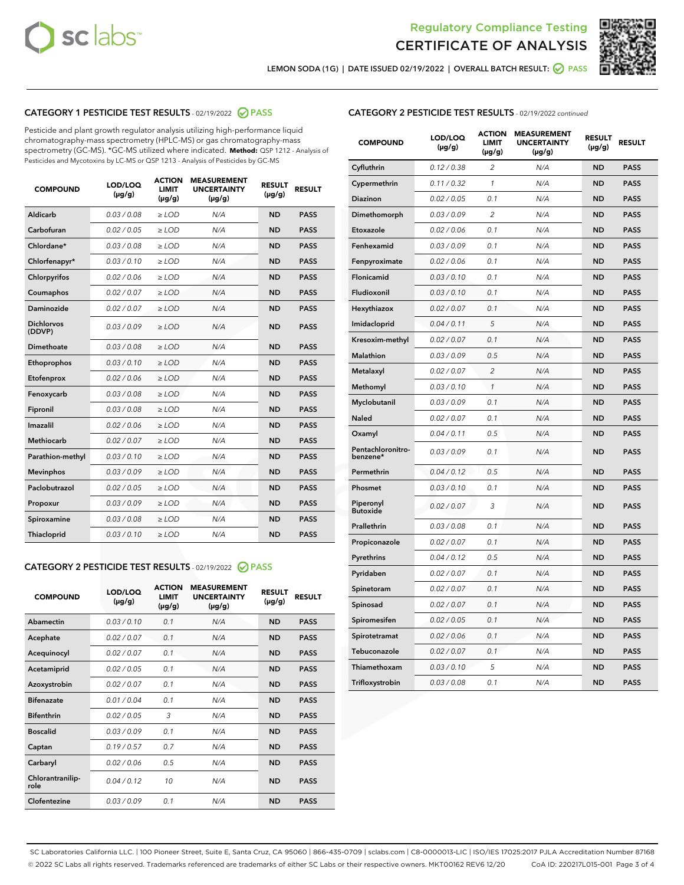



LEMON SODA (1G) | DATE ISSUED 02/19/2022 | OVERALL BATCH RESULT:  $\bigcirc$  PASS

## CATEGORY 1 PESTICIDE TEST RESULTS - 02/19/2022 2 PASS

Pesticide and plant growth regulator analysis utilizing high-performance liquid chromatography-mass spectrometry (HPLC-MS) or gas chromatography-mass spectrometry (GC-MS). \*GC-MS utilized where indicated. **Method:** QSP 1212 - Analysis of Pesticides and Mycotoxins by LC-MS or QSP 1213 - Analysis of Pesticides by GC-MS

| <b>COMPOUND</b>             | LOD/LOQ<br>$(\mu g/g)$ | <b>ACTION</b><br><b>LIMIT</b><br>$(\mu g/g)$ | <b>MEASUREMENT</b><br><b>UNCERTAINTY</b><br>$(\mu g/g)$ | <b>RESULT</b><br>$(\mu g/g)$ | <b>RESULT</b> |
|-----------------------------|------------------------|----------------------------------------------|---------------------------------------------------------|------------------------------|---------------|
| Aldicarb                    | 0.03 / 0.08            | $\ge$ LOD                                    | N/A                                                     | <b>ND</b>                    | <b>PASS</b>   |
| Carbofuran                  | 0.02 / 0.05            | $\ge$ LOD                                    | N/A                                                     | <b>ND</b>                    | <b>PASS</b>   |
| Chlordane*                  | 0.03 / 0.08            | $\ge$ LOD                                    | N/A                                                     | <b>ND</b>                    | <b>PASS</b>   |
| Chlorfenapyr*               | 0.03/0.10              | $\ge$ LOD                                    | N/A                                                     | <b>ND</b>                    | <b>PASS</b>   |
| Chlorpyrifos                | 0.02/0.06              | $\ge$ LOD                                    | N/A                                                     | <b>ND</b>                    | <b>PASS</b>   |
| Coumaphos                   | 0.02 / 0.07            | $\geq$ LOD                                   | N/A                                                     | <b>ND</b>                    | <b>PASS</b>   |
| Daminozide                  | 0.02 / 0.07            | $>$ LOD                                      | N/A                                                     | <b>ND</b>                    | <b>PASS</b>   |
| <b>Dichlorvos</b><br>(DDVP) | 0.03/0.09              | $\ge$ LOD                                    | N/A                                                     | <b>ND</b>                    | <b>PASS</b>   |
| Dimethoate                  | 0.03/0.08              | $>$ LOD                                      | N/A                                                     | <b>ND</b>                    | <b>PASS</b>   |
| Ethoprophos                 | 0.03/0.10              | $\ge$ LOD                                    | N/A                                                     | <b>ND</b>                    | <b>PASS</b>   |
| Etofenprox                  | 0.02 / 0.06            | $\geq$ LOD                                   | N/A                                                     | <b>ND</b>                    | <b>PASS</b>   |
| Fenoxycarb                  | 0.03/0.08              | $>$ LOD                                      | N/A                                                     | <b>ND</b>                    | <b>PASS</b>   |
| Fipronil                    | 0.03 / 0.08            | $\ge$ LOD                                    | N/A                                                     | <b>ND</b>                    | <b>PASS</b>   |
| Imazalil                    | 0.02 / 0.06            | $>$ LOD                                      | N/A                                                     | <b>ND</b>                    | <b>PASS</b>   |
| <b>Methiocarb</b>           | 0.02 / 0.07            | $\ge$ LOD                                    | N/A                                                     | <b>ND</b>                    | <b>PASS</b>   |
| Parathion-methyl            | 0.03/0.10              | $\geq$ LOD                                   | N/A                                                     | <b>ND</b>                    | <b>PASS</b>   |
| <b>Mevinphos</b>            | 0.03/0.09              | $\ge$ LOD                                    | N/A                                                     | <b>ND</b>                    | <b>PASS</b>   |
| Paclobutrazol               | 0.02 / 0.05            | $\ge$ LOD                                    | N/A                                                     | <b>ND</b>                    | <b>PASS</b>   |
| Propoxur                    | 0.03/0.09              | $\ge$ LOD                                    | N/A                                                     | <b>ND</b>                    | <b>PASS</b>   |
| Spiroxamine                 | 0.03 / 0.08            | $\ge$ LOD                                    | N/A                                                     | <b>ND</b>                    | <b>PASS</b>   |
| Thiacloprid                 | 0.03/0.10              | $>$ LOD                                      | N/A                                                     | <b>ND</b>                    | <b>PASS</b>   |

## CATEGORY 2 PESTICIDE TEST RESULTS - 02/19/2022 @ PASS

| <b>COMPOUND</b>          | LOD/LOQ<br>$(\mu g/g)$ | <b>ACTION</b><br><b>LIMIT</b><br>$(\mu g/g)$ | <b>MEASUREMENT</b><br><b>UNCERTAINTY</b><br>$(\mu g/g)$ | <b>RESULT</b><br>$(\mu g/g)$ | <b>RESULT</b> |
|--------------------------|------------------------|----------------------------------------------|---------------------------------------------------------|------------------------------|---------------|
| Abamectin                | 0.03/0.10              | 0.1                                          | N/A                                                     | <b>ND</b>                    | <b>PASS</b>   |
| Acephate                 | 0.02/0.07              | 0.1                                          | N/A                                                     | <b>ND</b>                    | <b>PASS</b>   |
| Acequinocyl              | 0.02/0.07              | 0.1                                          | N/A                                                     | <b>ND</b>                    | <b>PASS</b>   |
| Acetamiprid              | 0.02/0.05              | 0.1                                          | N/A                                                     | <b>ND</b>                    | <b>PASS</b>   |
| Azoxystrobin             | 0.02 / 0.07            | 0.1                                          | N/A                                                     | <b>ND</b>                    | <b>PASS</b>   |
| <b>Bifenazate</b>        | 0.01/0.04              | 0.1                                          | N/A                                                     | <b>ND</b>                    | <b>PASS</b>   |
| <b>Bifenthrin</b>        | 0.02 / 0.05            | 3                                            | N/A                                                     | <b>ND</b>                    | <b>PASS</b>   |
| <b>Boscalid</b>          | 0.03/0.09              | 0.1                                          | N/A                                                     | <b>ND</b>                    | <b>PASS</b>   |
| Captan                   | 0.19/0.57              | 0.7                                          | N/A                                                     | <b>ND</b>                    | <b>PASS</b>   |
| Carbaryl                 | 0.02/0.06              | 0.5                                          | N/A                                                     | <b>ND</b>                    | <b>PASS</b>   |
| Chlorantranilip-<br>role | 0.04/0.12              | 10                                           | N/A                                                     | <b>ND</b>                    | <b>PASS</b>   |
| Clofentezine             | 0.03/0.09              | 0.1                                          | N/A                                                     | <b>ND</b>                    | <b>PASS</b>   |

| <b>COMPOUND</b>               | LOD/LOQ<br>(µg/g) | <b>ACTION</b><br><b>LIMIT</b><br>$(\mu g/g)$ | <b>MEASUREMENT</b><br><b>UNCERTAINTY</b><br>$(\mu g/g)$ | <b>RESULT</b><br>(µg/g) | <b>RESULT</b> |
|-------------------------------|-------------------|----------------------------------------------|---------------------------------------------------------|-------------------------|---------------|
| Cyfluthrin                    | 0.12 / 0.38       | 2                                            | N/A                                                     | <b>ND</b>               | <b>PASS</b>   |
| Cypermethrin                  | 0.11 / 0.32       | 1                                            | N/A                                                     | <b>ND</b>               | <b>PASS</b>   |
| Diazinon                      | 0.02 / 0.05       | 0.1                                          | N/A                                                     | <b>ND</b>               | <b>PASS</b>   |
| Dimethomorph                  | 0.03 / 0.09       | 2                                            | N/A                                                     | <b>ND</b>               | <b>PASS</b>   |
| Etoxazole                     | 0.02 / 0.06       | 0.1                                          | N/A                                                     | <b>ND</b>               | <b>PASS</b>   |
| Fenhexamid                    | 0.03 / 0.09       | 0.1                                          | N/A                                                     | <b>ND</b>               | <b>PASS</b>   |
| Fenpyroximate                 | 0.02 / 0.06       | 0.1                                          | N/A                                                     | <b>ND</b>               | <b>PASS</b>   |
| Flonicamid                    | 0.03 / 0.10       | 0.1                                          | N/A                                                     | <b>ND</b>               | <b>PASS</b>   |
| Fludioxonil                   | 0.03 / 0.10       | 0.1                                          | N/A                                                     | <b>ND</b>               | <b>PASS</b>   |
| Hexythiazox                   | 0.02 / 0.07       | 0.1                                          | N/A                                                     | <b>ND</b>               | <b>PASS</b>   |
| Imidacloprid                  | 0.04 / 0.11       | 5                                            | N/A                                                     | <b>ND</b>               | <b>PASS</b>   |
| Kresoxim-methyl               | 0.02 / 0.07       | 0.1                                          | N/A                                                     | <b>ND</b>               | <b>PASS</b>   |
| <b>Malathion</b>              | 0.03 / 0.09       | 0.5                                          | N/A                                                     | <b>ND</b>               | <b>PASS</b>   |
| Metalaxyl                     | 0.02 / 0.07       | $\overline{\mathcal{L}}$                     | N/A                                                     | <b>ND</b>               | <b>PASS</b>   |
| Methomyl                      | 0.03 / 0.10       | $\mathbf{1}$                                 | N/A                                                     | <b>ND</b>               | <b>PASS</b>   |
| Myclobutanil                  | 0.03 / 0.09       | 0.1                                          | N/A                                                     | <b>ND</b>               | <b>PASS</b>   |
| Naled                         | 0.02 / 0.07       | 0.1                                          | N/A                                                     | <b>ND</b>               | <b>PASS</b>   |
| Oxamyl                        | 0.04 / 0.11       | 0.5                                          | N/A                                                     | <b>ND</b>               | <b>PASS</b>   |
| Pentachloronitro-<br>benzene* | 0.03 / 0.09       | 0.1                                          | N/A                                                     | <b>ND</b>               | <b>PASS</b>   |
| Permethrin                    | 0.04 / 0.12       | 0.5                                          | N/A                                                     | <b>ND</b>               | <b>PASS</b>   |
| Phosmet                       | 0.03 / 0.10       | 0.1                                          | N/A                                                     | <b>ND</b>               | <b>PASS</b>   |
| Piperonyl<br><b>Butoxide</b>  | 0.02 / 0.07       | 3                                            | N/A                                                     | <b>ND</b>               | <b>PASS</b>   |
| Prallethrin                   | 0.03 / 0.08       | 0.1                                          | N/A                                                     | <b>ND</b>               | <b>PASS</b>   |
| Propiconazole                 | 0.02 / 0.07       | 0.1                                          | N/A                                                     | <b>ND</b>               | <b>PASS</b>   |
| Pyrethrins                    | 0.04 / 0.12       | 0.5                                          | N/A                                                     | <b>ND</b>               | <b>PASS</b>   |
| Pyridaben                     | 0.02 / 0.07       | 0.1                                          | N/A                                                     | <b>ND</b>               | <b>PASS</b>   |
| Spinetoram                    | 0.02 / 0.07       | 0.1                                          | N/A                                                     | <b>ND</b>               | <b>PASS</b>   |
| Spinosad                      | 0.02 / 0.07       | 0.1                                          | N/A                                                     | <b>ND</b>               | <b>PASS</b>   |
| Spiromesifen                  | 0.02 / 0.05       | 0.1                                          | N/A                                                     | <b>ND</b>               | <b>PASS</b>   |
| Spirotetramat                 | 0.02 / 0.06       | 0.1                                          | N/A                                                     | ND                      | PASS          |
| Tebuconazole                  | 0.02 / 0.07       | 0.1                                          | N/A                                                     | <b>ND</b>               | <b>PASS</b>   |
| Thiamethoxam                  | 0.03 / 0.10       | 5                                            | N/A                                                     | <b>ND</b>               | <b>PASS</b>   |
| Trifloxystrobin               | 0.03 / 0.08       | 0.1                                          | N/A                                                     | <b>ND</b>               | <b>PASS</b>   |

SC Laboratories California LLC. | 100 Pioneer Street, Suite E, Santa Cruz, CA 95060 | 866-435-0709 | sclabs.com | C8-0000013-LIC | ISO/IES 17025:2017 PJLA Accreditation Number 87168 © 2022 SC Labs all rights reserved. Trademarks referenced are trademarks of either SC Labs or their respective owners. MKT00162 REV6 12/20 CoA ID: 220217L015-001 Page 3 of 4